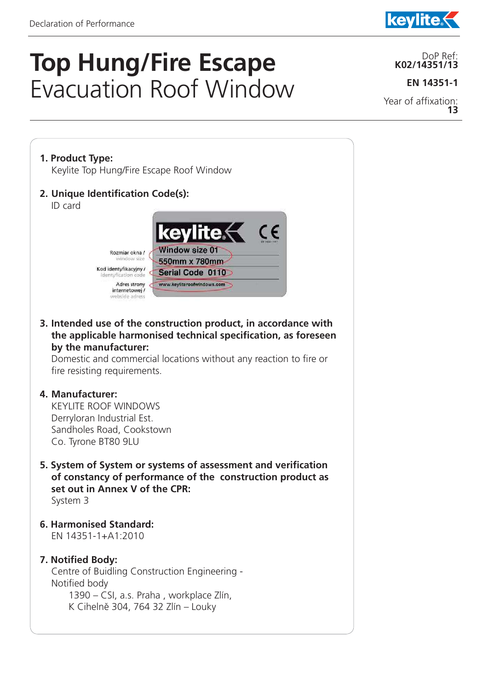## **Top Hung/Fire Escape**  Evacuation Roof Window

DoP Ref: **K02/14351/13**

**kevlite** 

**EN 14351-1**

Year of affixation: **13**